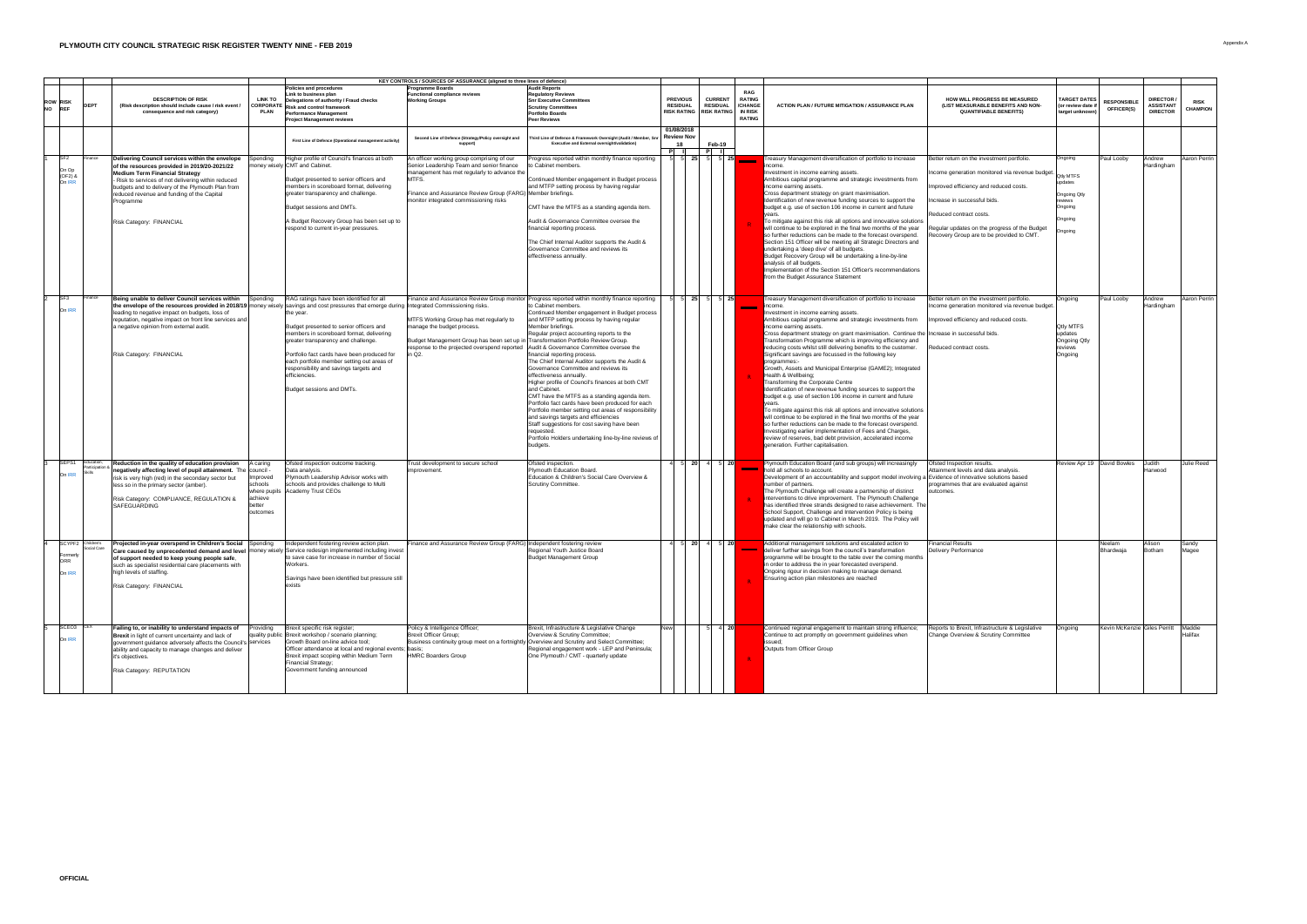|                                    |                                  | KEY CONTROLS / SOURCES OF ASSURANCE (aligned to three lines of defence)                                                                                                                                                                                                                                                                                                                         |                                                                                  |                                                                                                                                                                                                                                                                                                                                                                          |                                                                                                                                                                                                                                                          |                                                                                                                                                                                                                                                                                                                                                                                                                                                                                                                                                                                                                                                                                                                                                                                                                                                                                                               |                                    |                                                                                                                                     |                                                                                                                                                                                                                                                                                                                                                                                                                                                                                                                                                                                                                                                                                                                                                                                                                                                                                                                                                                                                                                                                                                                                                                |                                                                                                                                                                                                                                                                                                 |                                                                                                           |                                         |                                                          |                                |
|------------------------------------|----------------------------------|-------------------------------------------------------------------------------------------------------------------------------------------------------------------------------------------------------------------------------------------------------------------------------------------------------------------------------------------------------------------------------------------------|----------------------------------------------------------------------------------|--------------------------------------------------------------------------------------------------------------------------------------------------------------------------------------------------------------------------------------------------------------------------------------------------------------------------------------------------------------------------|----------------------------------------------------------------------------------------------------------------------------------------------------------------------------------------------------------------------------------------------------------|---------------------------------------------------------------------------------------------------------------------------------------------------------------------------------------------------------------------------------------------------------------------------------------------------------------------------------------------------------------------------------------------------------------------------------------------------------------------------------------------------------------------------------------------------------------------------------------------------------------------------------------------------------------------------------------------------------------------------------------------------------------------------------------------------------------------------------------------------------------------------------------------------------------|------------------------------------|-------------------------------------------------------------------------------------------------------------------------------------|----------------------------------------------------------------------------------------------------------------------------------------------------------------------------------------------------------------------------------------------------------------------------------------------------------------------------------------------------------------------------------------------------------------------------------------------------------------------------------------------------------------------------------------------------------------------------------------------------------------------------------------------------------------------------------------------------------------------------------------------------------------------------------------------------------------------------------------------------------------------------------------------------------------------------------------------------------------------------------------------------------------------------------------------------------------------------------------------------------------------------------------------------------------|-------------------------------------------------------------------------------------------------------------------------------------------------------------------------------------------------------------------------------------------------------------------------------------------------|-----------------------------------------------------------------------------------------------------------|-----------------------------------------|----------------------------------------------------------|--------------------------------|
| <b>ROW RISK</b><br>NO REF          |                                  | <b>DESCRIPTION OF RISK</b><br>(Risk description should include cause / risk event /<br>consequence and risk category)                                                                                                                                                                                                                                                                           | <b>LINK TO</b><br><b>PLAN</b>                                                    | Policies and procedures<br>Link to business plan<br>Delegations of authority / Fraud checks<br>, CORPORATE $\vert$ Risk and control framework<br><b>Performance Management</b><br><b>Project Management reviews</b>                                                                                                                                                      | <b>Programme Boards</b><br><b>Functional compliance reviews</b><br><b>Working Groups</b>                                                                                                                                                                 | <b>Audit Reports</b><br><b>Regulatory Reviews</b><br><b>Snr Executive Committees</b><br><b>Scrutiny Committees</b><br><b>Portfolio Boards</b><br><b>Peer Reviews</b>                                                                                                                                                                                                                                                                                                                                                                                                                                                                                                                                                                                                                                                                                                                                          | <b>PREVIOUS</b><br><b>RESIDUAL</b> | <b>RAG</b><br><b>CURRENT</b><br><b>RATING</b><br><b>RESIDUAL</b><br>/CHANGE<br>RISK RATING   RISK RATING   IN RISK<br><b>RATING</b> | <b>ACTION PLAN / FUTURE MITIGATION / ASSURANCE PLAN</b>                                                                                                                                                                                                                                                                                                                                                                                                                                                                                                                                                                                                                                                                                                                                                                                                                                                                                                                                                                                                                                                                                                        | <b>HOW WILL PROGRESS BE MEASURED</b><br>(LIST MEASURABLE BENEFITS AND NON-<br><b>QUANTIFIABLE BENEFITS)</b>                                                                                                                                                                                     | <b>TARGET DATES</b><br>(or review date if<br>target unknown)                                              | <b>RESPONSIBLE</b><br><b>OFFICER(S)</b> | <b>DIRECTOR /</b><br><b>ASSISTANT</b><br><b>DIRECTOR</b> | <b>RISK</b><br><b>CHAMPION</b> |
|                                    |                                  |                                                                                                                                                                                                                                                                                                                                                                                                 |                                                                                  | First Line of Defence (Operational management activity)                                                                                                                                                                                                                                                                                                                  | Second Line of Defence (Strategy/Policy oversight and                                                                                                                                                                                                    | Third Line of Defence & Framework Oversight (Audit / Member, Snr<br><b>Executive and External oversight/validation)</b>                                                                                                                                                                                                                                                                                                                                                                                                                                                                                                                                                                                                                                                                                                                                                                                       | 01/08/2018<br><b>Review Nov</b>    | Feb-19                                                                                                                              |                                                                                                                                                                                                                                                                                                                                                                                                                                                                                                                                                                                                                                                                                                                                                                                                                                                                                                                                                                                                                                                                                                                                                                |                                                                                                                                                                                                                                                                                                 |                                                                                                           |                                         |                                                          |                                |
| SF2 <br>On Op<br>(OF2) &<br>On IRR | Finance                          | Delivering Council services within the envelope<br>f the resources provided in 2019/20-2021/22<br><b>Medium Term Financial Strategy</b><br>- Risk to services of not delivering within reduced<br>budgets and to delivery of the Plymouth Plan from<br>reduced revenue and funding of the Capital<br>Programme<br><b>Risk Category: FINANCIAL</b>                                               | pending                                                                          | Higher profile of Council's finances at both<br>Imoney wisely CMT and Cabinet.<br>Budget presented to senior officers and<br>members in scoreboard format, delivering<br>greater transparency and challenge.<br>Budget sessions and DMTs.<br>A Budget Recovery Group has been set up to<br>respond to current in-year pressures.                                         | An officer working group comprising of our<br>Senior Leadership Team and senior finance<br>management has met regularly to advance the<br>MTFS.<br>Finance and Assurance Review Group (FARG) Member briefings.<br>monitor integrated commissioning risks | Progress reported within monthly finance reporting<br>to Cabinet members.<br>Continued Member engagement in Budget process<br>and MTFP setting process by having regular<br>CMT have the MTFS as a standing agenda item.<br>Audit & Governance Committee oversee the<br>financial reporting process.<br>The Chief Internal Auditor supports the Audit &<br>Governance Committee and reviews its<br>effectiveness annually.                                                                                                                                                                                                                                                                                                                                                                                                                                                                                    | $5$ 25 $5$                         | $-1$ 5 25                                                                                                                           | Treasury Management diversification of portfolio to increase<br>lincome<br>Investment in income earning assets.<br>Ambitious capital programme and strategic investments from<br>income earning assets.<br>Cross department strategy on grant maximisation.<br>Identification of new revenue funding sources to support the<br>budget e.g. use of section 106 income in current and future<br>To mitigate against this risk all options and innovative solutions<br>will continue to be explored in the final two months of the year<br>so further reductions can be made to the forecast overspend.<br>Section 151 Officer will be meeting all Strategic Directors and<br>undertaking a 'deep dive' of all budgets.<br>Budget Recovery Group will be undertaking a line-by-line<br>analysis of all budgets.<br>Implementation of the Section 151 Officer's recommendations<br>from the Budget Assurance Statement                                                                                                                                                                                                                                             | Better return on the investment portfolio.<br>Income generation monitored via revenue budget.<br>Improved efficiency and reduced costs.<br>ncrease in successful bids.<br>Reduced contract costs.<br>Regular updates on the progress of the Budget<br>Recovery Group are to be provided to CMT. | Ongoing<br><b>Qtly MTFS</b><br>updates<br><b>Ongoing Qtly</b><br>reviews<br>Ongoing<br>Ongoing<br>Ongoing | <b>Paul Looby</b>                       | Andrew<br>Hardingham                                     | Aaron Perrin                   |
| SF <sub>3</sub><br>On IRR          | Finance                          | Being unable to deliver Council services within<br>the envelope of the resources provided in 2018/19   money wisely   savings and cost pressures that emerge during   Integrated Commissioning risks.<br>leading to negative impact on budgets, loss of<br>reputation, negative impact on front line services and<br>a negative opinion from external audit.<br><b>Risk Category: FINANCIAL</b> | Spending                                                                         | RAG ratings have been identified for all<br>the year.<br>Budget presented to senior officers and<br>members in scoreboard format, delivering<br>greater transparency and challenge.<br>Portfolio fact cards have been produced for<br>each portfolio member setting out areas of<br>responsibility and savings targets and<br>efficiencies.<br>Budget sessions and DMTs. | <b>MTFS Working Group has met regularly to</b><br>manage the budget process.<br>Budget Management Group has been set up in Transformation Portfolio Review Group.<br>esponse to the projected overspend reported                                         | Finance and Assurance Review Group monitor Progress reported within monthly finance reporting<br>Ito Cabinet members.<br>Continued Member engagement in Budget process<br>and MTFP setting process by having regular<br>Member briefings.<br>Regular project accounting reports to the<br>Audit & Governance Committee oversee the<br>financial reporting process.<br>The Chief Internal Auditor supports the Audit &<br>Governance Committee and reviews its<br>effectiveness annually.<br>Higher profile of Council's finances at both CMT<br>and Cabinet.<br>CMT have the MTFS as a standing agenda item.<br>Portfolio fact cards have been produced for each<br>Portfolio member setting out areas of responsibility<br>and savings targets and efficiencies<br>Staff suggestions for cost saving have been<br><b>requeste</b><br>Portfolio Holders undertaking line-by-line reviews of<br><i>budgets</i> |                                    | <u>a shekara ta 1991 a shekara tsa shekara tsa 1991 a shekara tsa 1991 a shekara tsa 1991 a shekara tsa 1991 a sh</u>               | Treasury Management diversification of portfolio to increase<br>lincome.<br>Investment in income earning assets.<br>Ambitious capital programme and strategic investments from<br>income earning assets.<br>Cross department strategy on grant maximisation. Continue the Increase in successful bids.<br>Transformation Programme which is improving efficiency and<br>reducing costs whilst still delivering benefits to the customer.<br>Significant savings are focussed in the following key<br>programmes:-<br>Growth, Assets and Municipal Enterprise (GAME2); Integrated<br>Health & Wellbeing;<br><b>Transforming the Corporate Centre</b><br>Identification of new revenue funding sources to support the<br>budget e.g. use of section 106 income in current and future<br>To mitigate against this risk all options and innovative solutions<br>will continue to be explored in the final two months of the year<br>so further reductions can be made to the forecast overspend.<br>Investigating earlier implementation of Fees and Charges,<br>review of reserves, bad debt provision, accelerated income<br>generation. Further capitalisation. | Better return on the investment portfolio.<br>Income generation monitored via revenue budget.<br>Improved efficiency and reduced costs.<br>Reduced contract costs.                                                                                                                              | Ongoing<br><b>Qtly MTFS</b><br>updates<br><b>Ongoing Qtly</b><br>reviews<br>Ongoing                       | <b>Paul Looby</b>                       | Andrew<br>Hardingham                                     | Aaron Perrin                   |
| SEPS1<br>On IRR                    | IEducation.<br>Participation     | Reduction in the quality of education provision<br>negatively affecting level of pupil attainment. The council -<br>risk is very high (red) in the secondary sector but<br>lless so in the primary sector (amber).<br>Risk Category: COMPLIANCE, REGULATION &<br><b>SAFEGUARDING</b>                                                                                                            | A caring<br>Improved<br>schools<br>where pupils<br>achieve<br>bettel<br>outcomes | Ofsted inspection outcome tracking.<br>Data analysis.<br>Plymouth Leadership Advisor works with<br>schools and provides challenge to Multi<br>Academy Trust CEOs                                                                                                                                                                                                         | Trust development to secure school<br>improvement.                                                                                                                                                                                                       | Ofsted inspection.<br>Plymouth Education Board.<br>Education & Children's Social Care Overview &<br>Scrutiny Committee.                                                                                                                                                                                                                                                                                                                                                                                                                                                                                                                                                                                                                                                                                                                                                                                       |                                    | $5 \ 20 \ 4 \ 5 \ 20$<br><b>Contract Contract Contract</b>                                                                          | Plymouth Education Board (and sub groups) will increasingly<br>hold all schools to account.<br>Development of an accountability and support model involving a Evidence of innovative solutions based<br>number of partners.<br>The Plymouth Challenge will create a partnership of distinct<br>interventions to drive improvement. The Plymouth Challenge<br>has identified three strands designed to raise achievement. The<br>School Support, Challenge and Intervention Policy is being<br>updated and will go to Cabinet in March 2019. The Policy will<br>make clear the relationship with schools.                                                                                                                                                                                                                                                                                                                                                                                                                                                                                                                                                       | Ofsted Inspection results.<br>Attainment levels and data analysis.<br>programmes that are evaluated against<br>outcomes.                                                                                                                                                                        | Review Apr 19   David Bowles                                                                              |                                         | Judith<br><b>Harwood</b>                                 | Julie Reed                     |
| Formerly<br>ORR<br>On IRR          | SCYPF2 Children's<br>Social Care | <b>Projected in-year overspend in Children's Social Spending</b><br>Care caused by unprecedented demand and level   money wisely   Service redesign implemented including invest<br>of support needed to keep young people safe,<br>such as specialist residential care placements with<br>high levels of staffing.<br><b>Risk Category: FINANCIAL</b>                                          |                                                                                  | Independent fostering review action plan.<br>to save case for increase in number of Social<br>Workers.<br>Savings have been identified but pressure still<br>lexists                                                                                                                                                                                                     | Finance and Assurance Review Group (FARG) Independent fostering review                                                                                                                                                                                   | Regional Youth Justice Board<br><b>Budget Management Group</b>                                                                                                                                                                                                                                                                                                                                                                                                                                                                                                                                                                                                                                                                                                                                                                                                                                                | $20 \mid 4$                        | $\overline{5}$ 20                                                                                                                   | Additional management solutions and escalated action to<br>deliver further savings from the council's transformation<br>programme will be brought to the table over the coming months<br>in order to address the in year forecasted overspend.<br>Ongoing rigour in decision making to manage demand.<br><b>Ensuring action plan milestones are reached</b>                                                                                                                                                                                                                                                                                                                                                                                                                                                                                                                                                                                                                                                                                                                                                                                                    | Financial Results<br>Delivery Performance                                                                                                                                                                                                                                                       |                                                                                                           | Neelam<br>Bhardwaja                     | Alison<br><b>Botham</b>                                  | Sandy<br><b>Magee</b>          |
| SCEO <sub>3</sub> CEX<br>On IRR    |                                  | Failing to, or inability to understand impacts of<br><b>Brexit</b> in light of current uncertainty and lack of<br>government guidance adversely affects the Council's Services<br>ability and capacity to manage changes and deliver<br>it's objectives.<br><b>Risk Category: REPUTATION</b>                                                                                                    | roviding                                                                         | Brexit specific risk register;<br>quality public Brexit workshop / scenario planning;<br>Growth Board on-line advice tool;<br>Officer attendance at local and regional events; basis<br>Brexit impact scoping within Medium Term<br><b>Financial Strategy;</b><br>Government funding announced                                                                           | Policy & Intelligence Officer;<br><b>Brexit Officer Group;</b><br>Business continuity group meet on a fortnightly<br><b>HMRC Boarders Group</b>                                                                                                          | Brexit, Infrastructure & Legislative Change<br>Overview & Scrutiny Committee;<br>Ily Overview and Scrutiny and Select Committee;<br>Regional engagement work - LEP and Peninsula;<br>One Plymouth / CMT - quarterly update                                                                                                                                                                                                                                                                                                                                                                                                                                                                                                                                                                                                                                                                                    |                                    | $\overline{4}$ 20                                                                                                                   | Continued regional engagement to maintain strong influence;<br>Continue to act promptly on government guidelines when<br>lissued;<br>Outputs from Officer Group                                                                                                                                                                                                                                                                                                                                                                                                                                                                                                                                                                                                                                                                                                                                                                                                                                                                                                                                                                                                | Reports to Brexit, Infrastructure & Legislative<br>Change Overview & Scrutiny Committee                                                                                                                                                                                                         | Ongoing                                                                                                   | Kevin McKenzie Giles Perritt            |                                                          | Maddie<br>Halifax              |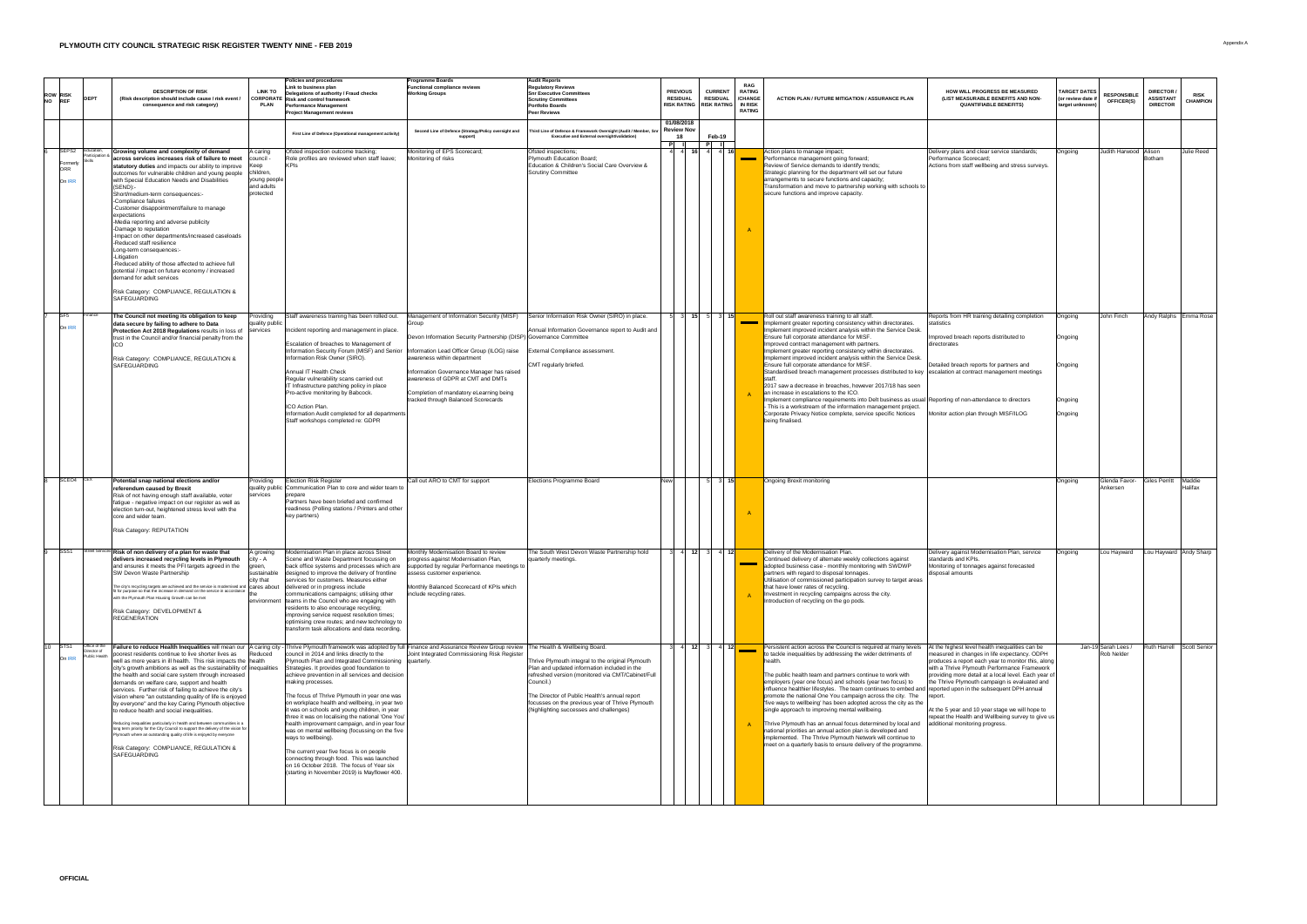|                                                                 |                                                       |                                                                                                                                                                                                                                                                                                                                                                                                                                                                                                                                                                                                                                                                                                                                                                                                                                                                                                                                                                                                                                                       | <b>Policies and procedures</b>                                                                                                                                                                                                                                                                                                                                                                                                                                                                                                                                                                                                                                                                                                                           | <b>Programme Boards</b>                                                                                                                                                                                                                                                                                                                                                                                                  | <b>Audit Reports</b>                                                                                                                                                                                                                                                                                                |                                    |                                                                           |                                                               |                                                                                                                                                                                                                                                                                                                                                                                                                                                                                                                                                                                                                                                                                                                                                                                                                                                                                                                                                    |                                                                                                                                                                                                                                                                                                                                                                                                                                                                      |                                                              |                                          |                                                         |                                  |
|-----------------------------------------------------------------|-------------------------------------------------------|-------------------------------------------------------------------------------------------------------------------------------------------------------------------------------------------------------------------------------------------------------------------------------------------------------------------------------------------------------------------------------------------------------------------------------------------------------------------------------------------------------------------------------------------------------------------------------------------------------------------------------------------------------------------------------------------------------------------------------------------------------------------------------------------------------------------------------------------------------------------------------------------------------------------------------------------------------------------------------------------------------------------------------------------------------|----------------------------------------------------------------------------------------------------------------------------------------------------------------------------------------------------------------------------------------------------------------------------------------------------------------------------------------------------------------------------------------------------------------------------------------------------------------------------------------------------------------------------------------------------------------------------------------------------------------------------------------------------------------------------------------------------------------------------------------------------------|--------------------------------------------------------------------------------------------------------------------------------------------------------------------------------------------------------------------------------------------------------------------------------------------------------------------------------------------------------------------------------------------------------------------------|---------------------------------------------------------------------------------------------------------------------------------------------------------------------------------------------------------------------------------------------------------------------------------------------------------------------|------------------------------------|---------------------------------------------------------------------------|---------------------------------------------------------------|----------------------------------------------------------------------------------------------------------------------------------------------------------------------------------------------------------------------------------------------------------------------------------------------------------------------------------------------------------------------------------------------------------------------------------------------------------------------------------------------------------------------------------------------------------------------------------------------------------------------------------------------------------------------------------------------------------------------------------------------------------------------------------------------------------------------------------------------------------------------------------------------------------------------------------------------------|----------------------------------------------------------------------------------------------------------------------------------------------------------------------------------------------------------------------------------------------------------------------------------------------------------------------------------------------------------------------------------------------------------------------------------------------------------------------|--------------------------------------------------------------|------------------------------------------|---------------------------------------------------------|----------------------------------|
| <b>ROW RISK</b><br>NO REF                                       |                                                       | <b>LINK TO</b><br><b>DESCRIPTION OF RISK</b><br>(Risk description should include cause / risk event<br><b>PLAN</b><br>consequence and risk category)                                                                                                                                                                                                                                                                                                                                                                                                                                                                                                                                                                                                                                                                                                                                                                                                                                                                                                  | Link to business plan<br>Delegations of authority / Fraud checks<br>, CORPORATE $ $ Risk and control framework<br><b>Performance Management</b><br><b>Project Management reviews</b>                                                                                                                                                                                                                                                                                                                                                                                                                                                                                                                                                                     | <b>Functional compliance reviews</b><br><b>Working Groups</b>                                                                                                                                                                                                                                                                                                                                                            | <b>Regulatory Reviews</b><br><b>Snr Executive Committees</b><br><b>Scrutiny Committees</b><br><b>Portfolio Boards</b><br><b>Peer Reviews</b>                                                                                                                                                                        | <b>PREVIOUS</b><br><b>RESIDUAL</b> | <b>CURRENT</b><br><b>RESIDUAL</b><br>RISK RATING RISK RATING NIN RISK     | <b>RAG</b><br><b>RATING</b><br><b>CHANGE</b><br><b>RATING</b> | <b>ACTION PLAN / FUTURE MITIGATION / ASSURANCE PLAN</b>                                                                                                                                                                                                                                                                                                                                                                                                                                                                                                                                                                                                                                                                                                                                                                                                                                                                                            | <b>HOW WILL PROGRESS BE MEASURED</b><br>(LIST MEASURABLE BENEFITS AND NON-<br><b>QUANTIFIABLE BENEFITS)</b>                                                                                                                                                                                                                                                                                                                                                          | <b>TARGET DATES</b><br>(or review date if<br>target unknown) | <b>RESPONSIBLE</b><br><b>OFFICER(S)</b>  | <b>DIRECTOR/</b><br><b>ASSISTANT</b><br><b>DIRECTOR</b> | <b>RISK</b><br><b>CHAMPION</b>   |
|                                                                 |                                                       |                                                                                                                                                                                                                                                                                                                                                                                                                                                                                                                                                                                                                                                                                                                                                                                                                                                                                                                                                                                                                                                       | First Line of Defence (Operational management activity)                                                                                                                                                                                                                                                                                                                                                                                                                                                                                                                                                                                                                                                                                                  | Second Line of Defence (Strategy/Policy oversight and<br>support)                                                                                                                                                                                                                                                                                                                                                        | Third Line of Defence & Framework Oversight (Audit / Member, Snr   Review Nov<br><b>Executive and External oversight/validation)</b>                                                                                                                                                                                | 01/08/2018<br>18                   | Feb-19                                                                    |                                                               |                                                                                                                                                                                                                                                                                                                                                                                                                                                                                                                                                                                                                                                                                                                                                                                                                                                                                                                                                    |                                                                                                                                                                                                                                                                                                                                                                                                                                                                      |                                                              |                                          |                                                         |                                  |
| $\overline{\qquad}$ SEPS2 $\qquad$<br>Formerly<br>ORR<br>On IRR | Education,<br>Participation                           | Growing volume and complexity of demand<br>A caring<br>across services increases risk of failure to meet<br><b>Council</b><br>statutory duties and impacts our ability to improve<br>children,<br>outcomes for vulnerable children and young people<br>young people<br>with Special Education Needs and Disabilities<br>and adults<br>(SEND):<br><i>c</i> orected<br>Short/medium-term consequences:-<br>-Compliance failures<br>-Customer disappointment/failure to manage<br>expectations<br>-Media reporting and adverse publicity<br>-Damage to reputation<br>-Impact on other departments/increased caseloads<br>-Reduced staff resilience<br>Long-term consequences:-<br><b>Litigation</b><br>-Reduced ability of those affected to achieve full<br>potential / impact on future economy / increased                                                                                                                                                                                                                                            | Ofsted inspection outcome tracking;<br>Role profiles are reviewed when staff leave;                                                                                                                                                                                                                                                                                                                                                                                                                                                                                                                                                                                                                                                                      | Monitoring of EPS Scorecard;<br>Monitoring of risks                                                                                                                                                                                                                                                                                                                                                                      | Ofsted inspections;<br>Plymouth Education Board;<br>Education & Children's Social Care Overview &<br><b>Scrutiny Committee</b>                                                                                                                                                                                      |                                    | $\begin{array}{ c c c c c c } \hline \end{array}$ 16 4 4 16               |                                                               | Action plans to manage impact;<br>Performance management going forward;<br>Review of Service demands to identify trends;<br>Strategic planning for the department will set our future<br>arrangements to secure functions and capacity;<br>Transformation and move to partnership working with schools to<br>secure functions and improve capacity.                                                                                                                                                                                                                                                                                                                                                                                                                                                                                                                                                                                                | Delivery plans and clear service standards;<br>Performance Scorecard;<br>Actions from staff wellbeing and stress surveys.                                                                                                                                                                                                                                                                                                                                            | <b>Ongoing</b>                                               | Judith Harwood Alison                    | <b>Botham</b>                                           | Julie Reed                       |
|                                                                 |                                                       | demand for adult services<br>Risk Category: COMPLIANCE, REGULATION &<br><b>SAFEGUARDING</b>                                                                                                                                                                                                                                                                                                                                                                                                                                                                                                                                                                                                                                                                                                                                                                                                                                                                                                                                                           |                                                                                                                                                                                                                                                                                                                                                                                                                                                                                                                                                                                                                                                                                                                                                          |                                                                                                                                                                                                                                                                                                                                                                                                                          |                                                                                                                                                                                                                                                                                                                     |                                    |                                                                           |                                                               |                                                                                                                                                                                                                                                                                                                                                                                                                                                                                                                                                                                                                                                                                                                                                                                                                                                                                                                                                    |                                                                                                                                                                                                                                                                                                                                                                                                                                                                      |                                                              |                                          |                                                         |                                  |
| $7$ SF5<br>On IRR                                               | Finance                                               | The Council not meeting its obligation to keep<br>roviding<br>quality public<br>data secure by failing to adhere to Data<br><b>Protection Act 2018 Regulations results in loss of Services</b><br>trust in the Council and/or financial penalty from the<br><b>Risk Category: COMPLIANCE, REGULATION &amp;</b><br><b>SAFEGUARDING</b>                                                                                                                                                                                                                                                                                                                                                                                                                                                                                                                                                                                                                                                                                                                 | Staff awareness training has been rolled out.<br>Incident reporting and management in place.<br>Escalation of breaches to Management of<br>Information Risk Owner (SIRO).<br><b>Annual IT Health Check</b><br>Regular vulnerability scans carried out<br>T Infrastructure patching policy in place<br>Pro-active monitoring by Babcock.<br><b>ICO</b> Action Plan.<br>Information Audit completed for all departments<br>Staff workshops completed re: GDPR                                                                                                                                                                                                                                                                                              | Management of Information Security (MISF)<br>Group<br>Devon Information Security Partnership (DISP) Governance Committee<br>Information Security Forum (MISF) and Senior  Information Lead Officer Group (ILOG) raise<br>awareness within department<br>Information Governance Manager has raised<br>awareness of GDPR at CMT and DMTs<br>Completion of mandatory eLearning being<br>tracked through Balanced Scorecards | Senior Information Risk Owner (SIRO) in place.<br>Annual Information Governance report to Audit and<br><b>External Compliance assessment.</b><br>CMT regularly briefed.                                                                                                                                             |                                    |                                                                           |                                                               | Roll out staff awareness training to all staff.<br>Implement greater reporting consistency within directorates.<br>Implement improved incident analysis within the Service Desk.<br>Ensure full corporate attendance for MISF.<br>Improved contract management with partners.<br>Implement greater reporting consistency within directorates.<br>Implement improved incident analysis within the Service Desk.<br><b>Ensure full corporate attendance for MISF.</b><br>Standardised breach management processes distributed to key escalation at contract management meetings<br>2017 saw a decrease in breaches, however 2017/18 has seen<br>an increase in escalations to the ICO.<br>Implement compliance requirements into Delt business as usual Reporting of non-attendance to directors<br>- This is a workstream of the information management project.<br>Corporate Privacy Notice complete, service specific Notices<br>being finalised. | Reports from HR training detailing completion<br>atistics<br>Improved breach reports distributed to<br><b>directorates</b><br>Detailed breach reports for partners and<br>Monitor action plan through MISF/ILOG                                                                                                                                                                                                                                                      | Ongoing<br>Ongoing<br>Ongoing<br>Ongoing<br>Ongoing          | John Finch                               |                                                         | Andy Ralphs Emma Rose            |
| SCEO4 CEX                                                       |                                                       | Potential snap national elections and/or<br>Providing<br>referendum caused by Brexit<br>services<br>Risk of not having enough staff available, voter<br>fatigue - negative impact on our register as well as<br>election turn-out, heightened stress level with the<br>core and wider team.<br><b>Risk Category: REPUTATION</b>                                                                                                                                                                                                                                                                                                                                                                                                                                                                                                                                                                                                                                                                                                                       | <b>Election Risk Register</b><br>quality public Communication Plan to core and wider team to<br>prepare<br>Partners have been briefed and confirmed<br>readiness (Polling stations / Printers and other<br>key partners)                                                                                                                                                                                                                                                                                                                                                                                                                                                                                                                                 | Call out ARO to CMT for support                                                                                                                                                                                                                                                                                                                                                                                          | Elections Programme Board                                                                                                                                                                                                                                                                                           |                                    | $\vert$ 15 $\vert$<br>5 <sup>1</sup>                                      |                                                               | Ongoing Brexit monitoring                                                                                                                                                                                                                                                                                                                                                                                                                                                                                                                                                                                                                                                                                                                                                                                                                                                                                                                          |                                                                                                                                                                                                                                                                                                                                                                                                                                                                      | Ongoing                                                      | Glenda Favor-<br>Ankersen                | <b>Giles Perritt</b>                                    | Maddie                           |
|                                                                 |                                                       | $\vert$ Street Services Risk of non delivery of a plan for waste that<br>A growing<br>delivers increased recycling levels in Plymouth<br>and ensures it meets the PFI targets agreed in the<br><b>SW Devon Waste Partnership</b><br>sustainable<br>city that<br>The city's recycling targets are achieved and the service is modernised and cares about<br>If the style respective to that the increase in demand on the service in accordance $\left $ the<br>with the Plymouth Plan Housing Growth can be met<br>environment<br><b>Risk Category: DEVELOPMENT &amp;</b><br><b>REGENERATION</b>                                                                                                                                                                                                                                                                                                                                                                                                                                                      | Modernisation Plan in place across Street<br>Scene and Waste Department focussing on<br>back office systems and processes which are<br>designed to improve the delivery of frontline<br>services for customers. Measures either<br>delivered or in progress include<br>communications campaigns; utilising other<br>teams in the Council who are engaging with<br>residents to also encourage recycling;<br>limproving service request resolution times;<br>optimising crew routes; and new technology to<br>transform task allocations and data recording.                                                                                                                                                                                              | Monthly Modernisation Board to review<br>progress against Modernisation Plan,<br>supported by regular Performance meetings to<br>assess customer experience.<br>Monthly Balanced Scorecard of KPIs which<br>include recycling rates.                                                                                                                                                                                     | The South West Devon Waste Partnership hold<br>quarterly meetings.                                                                                                                                                                                                                                                  |                                    | $4$ 12 3 4 12                                                             |                                                               | Delivery of the Modernisation Plan.<br>Continued delivery of alternate weekly collections against<br>adopted business case - monthly monitoring with SWDWP<br>partners with regard to disposal tonnages.<br>Utilisation of commissioned participation survey to target areas<br>$\blacksquare$ that have lower rates of recycling.<br>Investment in recycling campaigns across the city.<br>Introduction of recycling on the go pods.                                                                                                                                                                                                                                                                                                                                                                                                                                                                                                              | Delivery against Modernisation Plan, service<br>standards and KPIs.<br>Monitoring of tonnages against forecasted<br>disposal amounts                                                                                                                                                                                                                                                                                                                                 | Ongoing                                                      | Lou Hayward                              |                                                         | Lou Hayward Andy Sharp           |
| $\overline{10}$ STS1<br>On IRR                                  | Office of the<br>IDirector of<br><b>Public Health</b> | Failure to reduce Health Inequalities will mean our  A caring city - Thrive Plymouth framework was adopted by full Finance and Assurance Review Group review The Health & Wellbeing Board.<br>Reduced<br>poorest residents continue to live shorter lives as<br>well as more years in ill health. This risk impacts the   health<br>city's growth ambitions as well as the sustainability of linequalities<br>the health and social care system through increased<br>demands on welfare care, support and health<br>services. Further risk of failing to achieve the city's<br>vision where "an outstanding quality of life is enjoyed<br>by everyone" and the key Caring Plymouth objective<br>to reduce health and social inequalities.<br>Reducing inequalities particularly in health and between communities is a<br>long term priority for the City Council to support the delivery of the vision for<br>Plymouth where an outstanding quality of life is enjoyed by everyone<br>Risk Category: COMPLIANCE, REGULATION &<br><b>SAFEGUARDING</b> | council in 2014 and links directly to the<br>Plymouth Plan and Integrated Commissioning   quarterly.<br>Strategies. It provides good foundation to<br>achieve prevention in all services and decision<br>making processes.<br>The focus of Thrive Plymouth in year one was<br>on workplace health and wellbeing, in year two<br>it was on schools and young children, in year<br>three it was on localising the national 'One You'  <br>  health improvement campaign, and in year four<br>was on mental wellbeing (focussing on the five<br>ways to wellbeing).<br>The current year five focus is on people<br>connecting through food. This was launched<br>on 16 October 2018. The focus of Year six<br>(starting in November 2019) is Mayflower 400. | Joint Integrated Commissioning Risk Register                                                                                                                                                                                                                                                                                                                                                                             | Thrive Plymouth integral to the original Plymouth<br>Plan and updated information included in the<br>refreshed version (monitored via CMT/Cabinet/Full<br>Council.)<br>The Director of Public Health's annual report<br>focusses on the previous year of Thrive Plymouth<br>(highlighting successes and challenges) |                                    | $\overline{12}$ $\overline{3}$ $\overline{4}$ $\overline{12}$<br>$4$ 12 3 |                                                               | Persistent action across the Council is required at many levels<br>to tackle inequalities by addressing the wider detriments of<br>The public health team and partners continue to work with<br>employers (year one focus) and schools (year two focus) to<br>influence healthier lifestyles. The team continues to embed and reported upon in the subsequent DPH annual<br>promote the national One You campaign across the city. The<br>'five ways to wellbeing' has been adopted across the city as the<br>single approach to improving mental wellbeing.<br>Thrive Plymouth has an annual focus determined by local and<br>national priorities an annual action plan is developed and<br>implemented. The Thrive Plymouth Network will continue to<br>meet on a quarterly basis to ensure delivery of the programme.                                                                                                                           | At the highest level health inequalities can be<br>measured in changes in life expectancy. ODPH<br>produces a report each year to monitor this, along<br>with a Thrive Plymouth Performance Framework<br>providing more detail at a local level. Each year of<br>the Thrive Plymouth campaign is evaluated and<br>report.<br>At the 5 year and 10 year stage we will hope to<br>repeat the Health and Wellbeing survey to give us<br>additional monitoring progress. |                                                              | Jan-19 Sarah Lees /<br><b>Rob Nelder</b> |                                                         | <b>Ruth Harrell Scott Senior</b> |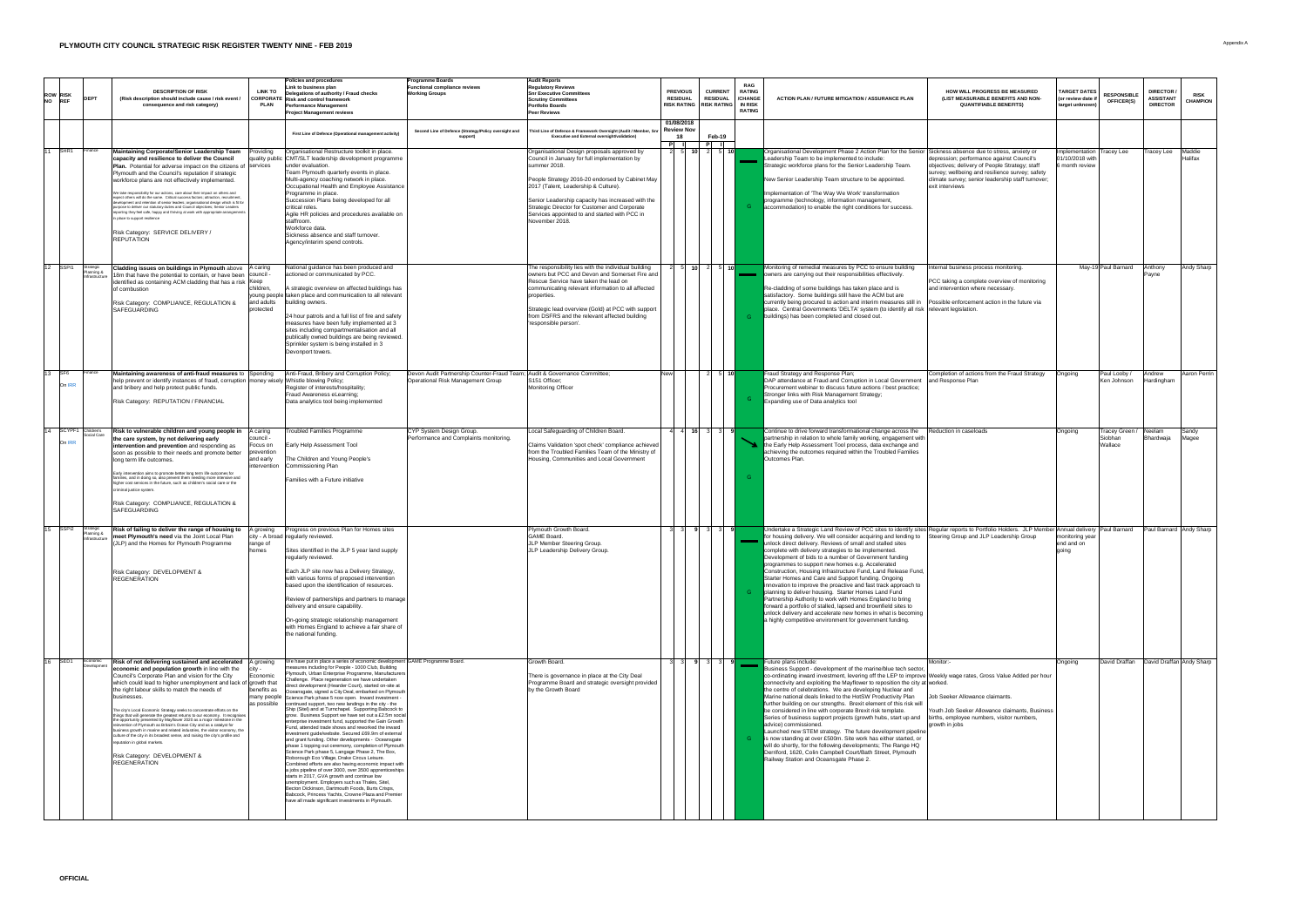|                                     |                                           |                                                                                                                                                                                                                                                                                                                                                                                                                                                                                                                                                                                                                                                                                                                                                                                                                                                                                                                                        | <b>Policies and procedures</b>                                                                                                                                                                                                                                                                                                                                                                                                                                                                                                                                                                                                                                                                                                                                                                                                                                                                                                                                                                                                                                                                                                                                                                                                                                                                                                                                                              | <b>Programme Boards</b>                                                                                               | <b>Audit Reports</b>                                                                                                                                                                                                                                                                                                                                                             |                                                               |                                                                                                                    |                                                                           |                                                                                                                                                                                                                                                                                                                                                                                                                                                                                                                                                                                                                                                                                                                                                                                                                                                                                                                                                                                                           |                                                                                                                                                                                                                        |                                                               |                                                    |                                                         |                                |
|-------------------------------------|-------------------------------------------|----------------------------------------------------------------------------------------------------------------------------------------------------------------------------------------------------------------------------------------------------------------------------------------------------------------------------------------------------------------------------------------------------------------------------------------------------------------------------------------------------------------------------------------------------------------------------------------------------------------------------------------------------------------------------------------------------------------------------------------------------------------------------------------------------------------------------------------------------------------------------------------------------------------------------------------|---------------------------------------------------------------------------------------------------------------------------------------------------------------------------------------------------------------------------------------------------------------------------------------------------------------------------------------------------------------------------------------------------------------------------------------------------------------------------------------------------------------------------------------------------------------------------------------------------------------------------------------------------------------------------------------------------------------------------------------------------------------------------------------------------------------------------------------------------------------------------------------------------------------------------------------------------------------------------------------------------------------------------------------------------------------------------------------------------------------------------------------------------------------------------------------------------------------------------------------------------------------------------------------------------------------------------------------------------------------------------------------------|-----------------------------------------------------------------------------------------------------------------------|----------------------------------------------------------------------------------------------------------------------------------------------------------------------------------------------------------------------------------------------------------------------------------------------------------------------------------------------------------------------------------|---------------------------------------------------------------|--------------------------------------------------------------------------------------------------------------------|---------------------------------------------------------------------------|-----------------------------------------------------------------------------------------------------------------------------------------------------------------------------------------------------------------------------------------------------------------------------------------------------------------------------------------------------------------------------------------------------------------------------------------------------------------------------------------------------------------------------------------------------------------------------------------------------------------------------------------------------------------------------------------------------------------------------------------------------------------------------------------------------------------------------------------------------------------------------------------------------------------------------------------------------------------------------------------------------------|------------------------------------------------------------------------------------------------------------------------------------------------------------------------------------------------------------------------|---------------------------------------------------------------|----------------------------------------------------|---------------------------------------------------------|--------------------------------|
| <b>ROW RISK</b><br>NO REF           |                                           | <b>LINK TO</b><br><b>DESCRIPTION OF RISK</b><br>(Risk description should include cause / risk event)<br><b>PLAN</b><br>consequence and risk category)                                                                                                                                                                                                                                                                                                                                                                                                                                                                                                                                                                                                                                                                                                                                                                                  | <b>Link to business plan</b><br>Delegations of authority / Fraud checks<br><b>CORPORATE</b> Risk and control framework<br><b>Performance Management</b><br><b>Project Management reviews</b>                                                                                                                                                                                                                                                                                                                                                                                                                                                                                                                                                                                                                                                                                                                                                                                                                                                                                                                                                                                                                                                                                                                                                                                                | <b>Functional compliance reviews</b><br><b>Working Groups</b>                                                         | <b>Regulatory Reviews</b><br><b>Snr Executive Committees</b><br><b>Scrutiny Committees</b><br><b>Portfolio Boards</b><br><b>Peer Reviews</b>                                                                                                                                                                                                                                     | <b>PREVIOUS</b><br><b>RESIDUAL</b><br>RISK RATING RISK RATING | <b>CURRENT</b><br><b>RESIDUAL</b>                                                                                  | <b>RAG</b><br><b>RATING</b><br>/CHANGE<br><b>IN RISK</b><br><b>RATING</b> | <b>ACTION PLAN / FUTURE MITIGATION / ASSURANCE PLAN</b>                                                                                                                                                                                                                                                                                                                                                                                                                                                                                                                                                                                                                                                                                                                                                                                                                                                                                                                                                   | <b>HOW WILL PROGRESS BE MEASURED</b><br>(LIST MEASURABLE BENEFITS AND NON-<br><b>QUANTIFIABLE BENEFITS)</b>                                                                                                            | TARGET DATES<br>(or review date if $\vert$<br>target unknown) | <b>RESPONSIBLE</b><br><b>OFFICER(S)</b>            | <b>DIRECTOR /</b><br><b>ASSISTANT</b><br><b>DIRECTO</b> | <b>RISK</b><br><b>CHAMPION</b> |
|                                     |                                           |                                                                                                                                                                                                                                                                                                                                                                                                                                                                                                                                                                                                                                                                                                                                                                                                                                                                                                                                        | First Line of Defence (Operational management activity)                                                                                                                                                                                                                                                                                                                                                                                                                                                                                                                                                                                                                                                                                                                                                                                                                                                                                                                                                                                                                                                                                                                                                                                                                                                                                                                                     | Second Line of Defence (Strategy/Policy oversight and                                                                 | Third Line of Defence & Framework Oversight (Audit / Member, Snr<br><b>Executive and External oversight/validation)</b>                                                                                                                                                                                                                                                          | 01/08/2018<br><b>Review Nov</b>                               | Feb-19<br>$\overline{\phantom{a}}$ , and the set of $\overline{\phantom{a}}$                                       |                                                                           |                                                                                                                                                                                                                                                                                                                                                                                                                                                                                                                                                                                                                                                                                                                                                                                                                                                                                                                                                                                                           |                                                                                                                                                                                                                        |                                                               |                                                    |                                                         |                                |
| $\overline{\overline{\text{SHR1}}}$ | <b>IFinance</b>                           | Maintaining Corporate/Senior Leadership Team<br>'roviding<br><b>capacity and resilience to deliver the Council</b><br><b>Plan.</b> Potential for adverse impact on the citizens of Services<br>Plymouth and the Council's reputation if strategic<br>workforce plans are not effectively implemented.<br>We take responsibility for our actions. care about their impact on others and<br>expect others will do the same. Critical success factors; attraction, recruitment,<br>development and retention of senior leaders; organisational design which is fit for<br>purpose to deliver our statutory duties and Council objectives; Senior Leaders<br>reporting they feel safe, happy and thriving at work with appropriate arrangements<br>in place to support resilience<br>Risk Category: SERVICE DELIVERY /<br>REPUTATION                                                                                                       | Organisational Restructure toolkit in place.<br>quality public CMT/SLT leadership development programme<br>under evaluation.<br>Team Plymouth quarterly events in place.<br>Multi-agency coaching network in place.<br>Occupational Health and Employee Assistance<br>Programme in place.<br>Succession Plans being developed for all<br>critical roles.<br>Agile HR policies and procedures available on<br>staffroom.<br>Workforce data.<br>Sickness absence and staff turnover.<br>Agency/interim spend controls.                                                                                                                                                                                                                                                                                                                                                                                                                                                                                                                                                                                                                                                                                                                                                                                                                                                                        |                                                                                                                       | Organisational Design proposals approved by<br>Council in January for full implementation by<br>summer 2018.<br>People Strategy 2016-20 endorsed by Cabinet May<br>2017 (Talent, Leadership & Culture).<br>Senior Leadership capacity has increased with the<br>Strategic Director for Customer and Corporate<br>Services appointed to and started with PCC in<br>November 2018. | 10 <sup>1</sup>                                               | $\overline{5}$ 10                                                                                                  |                                                                           | Organisational Development Phase 2 Action Plan for the Senior Sickness absence due to stress, anxiety or<br>Leadership Team to be implemented to include:<br>Strategic workforce plans for the Senior Leadership Team.<br>New Senior Leadership Team structure to be appointed.<br>Implementation of 'The Way We Work' transformation<br>programme (technology, information management,<br>accommodation) to enable the right conditions for success.                                                                                                                                                                                                                                                                                                                                                                                                                                                                                                                                                     | depression; performance against Council's<br>objectives; delivery of People Strategy; staff<br>survey; wellbeing and resilience survey; safety<br>climate survey; senior leadership staff turnover;<br>exit interviews | Implementation<br>01/10/2018 with<br>month review             | <b>Tracey Lee</b>                                  | Tracey Lee                                              | Maddie<br>Halifax              |
| $12$ SSPI1                          | Strategic<br>Planning 8<br>Infrastructur  | <b>Cladding issues on buildings in Plymouth above</b> $ A $ caring<br>18m that have the potential to contain, or have been council -<br>lidentified as containing ACM cladding that has a risk Keep<br>childrer<br>of combustion<br><b>Risk Category: COMPLIANCE, REGULATION &amp;</b><br>and adults<br>protected<br><b>SAFEGUARDING</b>                                                                                                                                                                                                                                                                                                                                                                                                                                                                                                                                                                                               | National guidance has been produced and<br>actioned or communicated by PCC.<br>A strategic overview on affected buildings has<br>young people taken place and communication to all relevant<br>building owners.<br>24 hour patrols and a full list of fire and safety<br>measures have been fully implemented at 3<br>sites including compartmentalisation and all<br>publically owned buildings are being reviewed.<br>Sprinkler system is being installed in 3<br>Devonport towers.                                                                                                                                                                                                                                                                                                                                                                                                                                                                                                                                                                                                                                                                                                                                                                                                                                                                                                       |                                                                                                                       | The responsibility lies with the individual building<br>owners but PCC and Devon and Somerset Fire and<br>Rescue Service have taken the lead on<br>communicating relevant information to all affected<br>properties.<br>Strategic lead overview (Gold) at PCC with support<br>from DSFRS and the relevant affected building<br>'responsible person'.                             |                                                               | $\begin{array}{ c c c c c c c c } \hline \textbf{10} & \textbf{2} & \textbf{5} & \textbf{10} \ \hline \end{array}$ |                                                                           | Monitoring of remedial measures by PCC to ensure building<br>owners are carrying out their responsibilities effectively.<br>Re-cladding of some buildings has taken place and is<br>satisfactory. Some buildings still have the ACM but are<br>currently being procured to action and interim measures still in<br>place. Central Governments 'DELTA' system (to identify all risk   relevant legislation.<br>buildings) has been completed and closed out.                                                                                                                                                                                                                                                                                                                                                                                                                                                                                                                                               | nternal business process monitoring.<br><b>PCC taking a complete overview of monitoring</b><br>and intervention where necessary.<br>Possible enforcement action in the future via                                      |                                                               | May-19 Paul Barnard                                | Anthony<br>Pavne.                                       | <b>Andy Sharp</b>              |
| $\overline{13}$ SF6<br>On IRR       | <b>Finance</b>                            | Maintaining awareness of anti-fraud measures to<br>Spending<br> help prevent or identify instances of fraud, corruption   money wisely   Whistle blowing Policy;<br>and bribery and help protect public funds.<br><b>Risk Category: REPUTATION / FINANCIAL</b>                                                                                                                                                                                                                                                                                                                                                                                                                                                                                                                                                                                                                                                                         | Anti-Fraud, Bribery and Corruption Policy;<br>Register of interests/hospitality;<br><b>Fraud Awareness eLearning;</b><br>Data analytics tool being implemented                                                                                                                                                                                                                                                                                                                                                                                                                                                                                                                                                                                                                                                                                                                                                                                                                                                                                                                                                                                                                                                                                                                                                                                                                              | Devon Audit Partnership Counter-Fraud Team; Audit & Governance Committee;<br><b>Operational Risk Management Group</b> | S151 Officer;<br>Monitoring Officer                                                                                                                                                                                                                                                                                                                                              |                                                               | $\frac{1}{5}$ 10                                                                                                   |                                                                           | Fraud Strategy and Response Plan;<br>DAP attendance at Fraud and Corruption in Local Government<br>Procurement webinar to discuss future actions / best practice;<br>Stronger links with Risk Management Strategy;<br>Expanding use of Data analytics tool                                                                                                                                                                                                                                                                                                                                                                                                                                                                                                                                                                                                                                                                                                                                                | Completion of actions from the Fraud Strategy<br>and Response Plan                                                                                                                                                     | Ongoing                                                       | Paul Looby /<br>Ken Johnson                        | Andrew<br>lardingham                                    | Aaron Perrin                   |
| 14 SCYPF1 Children's<br>On IRR      | Social Care                               | <b>Risk to vulnerable children and young people in</b> A caring<br>the care system, by not delivering early<br>COUNCIL-<br>Focus on<br>intervention and prevention and responding as<br>soon as possible to their needs and promote better   prevention<br>and early<br>long term life outcomes.<br>intervention<br>Early intervention aims to promote better long term life outcomes for<br>families, and in doing so, also prevent them needing more intensive and<br>higher cost services in the future, such as children's social care or the<br>criminal justice system.<br><b>Risk Category: COMPLIANCE, REGULATION &amp;</b><br><b>SAFEGUARDING</b>                                                                                                                                                                                                                                                                             | <b>Troubled Families Programme</b><br><b>Early Help Assessment Tool</b><br>The Children and Young People's<br>Commissioning Plan<br><b>Families with a Future initiative</b>                                                                                                                                                                                                                                                                                                                                                                                                                                                                                                                                                                                                                                                                                                                                                                                                                                                                                                                                                                                                                                                                                                                                                                                                                | CYP System Design Group.<br>Performance and Complaints monitoring.                                                    | Local Safeguarding of Children Board.<br>Claims Validation 'spot check' compliance achieved  <br>from the Troubled Families Team of the Ministry of<br>Housing, Communities and Local Government                                                                                                                                                                                 |                                                               | $1$ 16 3 3 9                                                                                                       |                                                                           | Continue to drive forward transformational change across the<br>partnership in relation to whole family working, engagement with  <br>the Early Help Assessment Tool process, data exchange and<br>achieving the outcomes required within the Troubled Families<br>Outcomes Plan.                                                                                                                                                                                                                                                                                                                                                                                                                                                                                                                                                                                                                                                                                                                         | Reduction in caseloads                                                                                                                                                                                                 | Ongoing                                                       | <b>Tracey Green /</b><br>Siobhan<br><b>Wallace</b> | <b>priaruwaja</b>                                       | Sandy<br><b>TIVIAYEE</b>       |
| 15 SSPI2                            | Strategic<br>Planning &<br>Infrastructure | <b>Risk of failing to deliver the range of housing to</b><br>A growing<br>meet Plymouth's need via the Joint Local Plan<br>range of<br>(ULP) and the Homes for Plymouth Programme<br>homes<br>Risk Category: DEVELOPMENT &<br><b>REGENERATION</b>                                                                                                                                                                                                                                                                                                                                                                                                                                                                                                                                                                                                                                                                                      | Progress on previous Plan for Homes sites<br>city - A broad   regularly reviewed.<br>Sites identified in the JLP 5 year land supply<br>regularly reviewed.<br>Each JLP site now has a Delivery Strategy,<br>with various forms of proposed intervention<br>based upon the identification of resources.<br>Review of partnerships and partners to manage<br>delivery and ensure capability.<br>On-going strategic relationship management<br>with Homes England to achieve a fair share of<br>the national funding.                                                                                                                                                                                                                                                                                                                                                                                                                                                                                                                                                                                                                                                                                                                                                                                                                                                                          |                                                                                                                       | Plymouth Growth Board.<br><b>GAME Board.</b><br>JLP Member Steering Group.<br>JLP Leadership Delivery Group.                                                                                                                                                                                                                                                                     |                                                               |                                                                                                                    |                                                                           | Undertake a Strategic Land Review of PCC sites to identify sites Regular reports to Portfolio Holders. JLP Member Annual delivery Paul Barnard<br>for housing delivery. We will consider acquiring and lending to Steering Group and JLP Leadership Group<br>unlock direct delivery. Reviews of small and stalled sites<br>complete with delivery strategies to be implemented.<br>Development of bids to a number of Government funding<br>programmes to support new homes e.g. Accelerated<br>Construction, Housing Infrastructure Fund, Land Release Fund.<br>Starter Homes and Care and Support funding. Ongoing<br>innovation to improve the proactive and fast track approach to<br>planning to deliver housing. Starter Homes Land Fund<br>Partnership Authority to work with Homes England to bring<br>forward a portfolio of stalled, lapsed and brownfield sites to<br>unlock delivery and accelerate new homes in what is becoming<br>a highly competitive environment for government funding. |                                                                                                                                                                                                                        | Imonitoring year<br>end and on<br>aoina                       |                                                    |                                                         | Paul Barnard  Andy Sharp       |
| 16 SED1                             | Developmer                                | <b>Risk of not delivering sustained and accelerated</b> A growing<br>economic and population growth in line with the<br>Economic<br>Council's Corporate Plan and vision for the City<br>which could lead to higher unemployment and lack of growth that<br>benefits as<br>the right labour skills to match the needs of<br>lbusinesses.<br>as possible<br>The city's Local Economic Strategy seeks to concentrate efforts on the<br>things that will generate the greatest returns to our economy. It recognises<br>the opportunity presented by Mayflower 2020 as a maior milestone in the<br>reinvention of Plymouth as Britain's Ocean City and as a catalyst for<br>business growth in marine and related industries, the visitor economy, the<br>culture of the city in its broadest sense, and raising the city's profile and<br>reputation in global markets.<br><b>Risk Category: DEVELOPMENT &amp;</b><br><b>REGENERATION</b> | We have put in place a series of economic development GAME Programme Board.<br>measures including for People - 1000 Club, Building<br>Plymouth, Urban Enterprise Programme, Manufacturers<br>Challenge. Place regeneration we have undertaken<br>direct development (Hearder Court), started on-site at<br>Oceansgate, signed a City Deal, embarked on Plymouth<br>many people Science Park phase 5 now open. Inward investment -<br>continued support, two new landings in the city - the<br>Ship (Sitel) and at Turnchapel. Supporting Babcock to<br>grow. Business Support we have set out a £2.5m social<br>enterprise investment fund, supported the Gain Growth<br>Fund, attended trade shows and reworked the inward<br>investment guide/website. Secured £69.9m of external<br>and grant funding. Other developments - Oceansgate<br>phase 1 topping out ceremony, completion of Plymouth<br>Science Park phase 5, Langage Phase 2, The Box,<br>Roborough Eco Village, Drake Circus Leisure.<br>Combined efforts are also having economic impact with  <br>a jobs pipeline of over 3000, over 3500 apprenticeships<br>starts in 2017, GVA growth and continue low<br>unemployment. Employers such as Thales, Sitel,<br>Becton Dickinson, Dartmouth Foods, Burts Crisps.<br>Babcock, Princess Yachts, Crowne Plaza and Premier<br>have all made significant investments in Plymouth. |                                                                                                                       | Growth Board.<br>There is governance in place at the City Deal<br>Programme Board and strategic oversight provided<br>by the Growth Board                                                                                                                                                                                                                                        |                                                               |                                                                                                                    |                                                                           | Future plans include:<br>Business Support - development of the marine/blue tech sector,<br>co-ordinating inward investment, levering off the LEP to improve Weekly wage rates, Gross Value Added per hour<br><b>Connectivity and exploiting the Mayflower to reposition the city at worked.</b><br>the centre of celebrations. We are developing Nuclear and<br>Marine national deals linked to the HotSW Productivity Plan<br>further building on our strengths. Brexit element of this risk will<br>be considered in line with corporate Brexit risk template.<br>Series of business support projects (growth hubs, start up and<br>advice) commissioned.<br>Launched new STEM strategy. The future development pipeline<br>is now standing at over £500m. Site work has either started, or<br>will do shortly, for the following developments; The Range HQ<br>Derriford, 1620, Colin Campbell Court/Bath Street, Plymouth<br>Railway Station and Oceansgate Phase 2.                                  | Monitor:-<br>Job Seeker Allowance claimants.<br>Youth Job Seeker Allowance claimants, Business  <br>(births, employee numbers, visitor numbers,<br>growth in jobs                                                      | Ongoing                                                       | David Draffan                                      |                                                         | David Draffan Andy Sharp       |